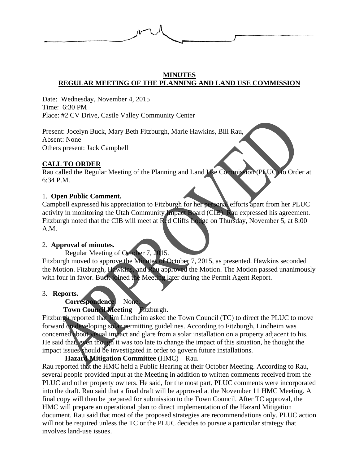

## **MINUTES REGULAR MEETING OF THE PLANNING AND LAND USE COMMISSION**

Date: Wednesday, November 4, 2015 Time: 6:30 PM Place: #2 CV Drive, Castle Valley Community Center

Present: Jocelyn Buck, Mary Beth Fitzburgh, Marie Hawkins, Bill Rau, Absent: None Others present: Jack Campbell

## **CALL TO ORDER**

Rau called the Regular Meeting of the Planning and Land Use Commission (PLUC) to Order at 6:34 P.M.

## 1. **Open Public Comment.**

Campbell expressed his appreciation to Fitzburgh for her personal efforts apart from her PLUC activity in monitoring the Utah Community Impact Board (CIB). Rau expressed his agreement. Fitzburgh noted that the CIB will meet at Red Cliffs Lodge on Thursday, November 5, at 8:00 A.M.

## 2. **Approval of minutes.**

Regular Meeting of October 7, 2015. Fitzburgh moved to approve the Minutes of October 7, 2015, as presented. Hawkins seconded the Motion. Fitzburgh, Hawkins, and Rau approved the Motion. The Motion passed unanimously with four in favor. Buck joined the Meeting later during the Permit Agent Report.

## 3. **Reports.**

# **Correspondence**. – None.

# **Town Council Meeting** – Fitzburgh.

Fitzburgh reported that Jim Lindheim asked the Town Council (TC) to direct the PLUC to move forward on developing solar permitting guidelines. According to Fitzburgh, Lindheim was concerned about visual impact and glare from a solar installation on a property adjacent to his. He said that, even though it was too late to change the impact of this situation, he thought the impact issues should be investigated in order to govern future installations.

**Hazard Mitigation Committee** (HMC) – Rau.

Rau reported that the HMC held a Public Hearing at their October Meeting. According to Rau, several people provided input at the Meeting in addition to written comments received from the PLUC and other property owners. He said, for the most part, PLUC comments were incorporated into the draft. Rau said that a final draft will be approved at the November 11 HMC Meeting. A final copy will then be prepared for submission to the Town Council. After TC approval, the HMC will prepare an operational plan to direct implementation of the Hazard Mitigation document. Rau said that most of the proposed strategies are recommendations only. PLUC action will not be required unless the TC or the PLUC decides to pursue a particular strategy that involves land-use issues.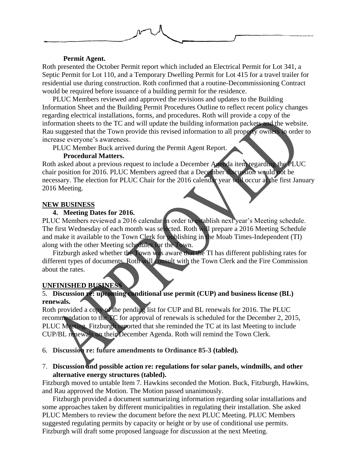

### **Permit Agent.**

Roth presented the October Permit report which included an Electrical Permit for Lot 341, a Septic Permit for Lot 110, and a Temporary Dwelling Permit for Lot 415 for a travel trailer for residential use during construction. Roth confirmed that a routine-Decommissioning Contract would be required before issuance of a building permit for the residence.

PLUC Members reviewed and approved the revisions and updates to the Building Information Sheet and the Building Permit Procedures Outline to reflect recent policy changes regarding electrical installations, forms, and procedures. Roth will provide a copy of the information sheets to the TC and will update the building information packets and the website. Rau suggested that the Town provide this revised information to all property owners in order to increase everyone's awareness.

PLUC Member Buck arrived during the Permit Agent Report.

### **Procedural Matters.**

Roth asked about a previous request to include a December Agenda item regarding the PLUC chair position for 2016. PLUC Members agreed that a December discussion would not be necessary. The election for PLUC Chair for the 2016 calendar year will occur at the first January 2016 Meeting.

### **NEW BUSINESS**

#### **4. Meeting Dates for 2016.**

PLUC Members reviewed a 2016 calendar in order to establish next year's Meeting schedule. The first Wednesday of each month was selected. Roth will prepare a 2016 Meeting Schedule and make it available to the Town Clerk for publishing in the Moab Times-Independent (TI) along with the other Meeting schedules for the Town.

Fitzburgh asked whether the Town was aware that the TI has different publishing rates for different types of documents. Roth will consult with the Town Clerk and the Fire Commission about the rates.

#### **UNFINISHED BUSINESS**

## 5. **Discussion re: upcoming conditional use permit (CUP) and business license (BL) renewals.**

Roth provided a copy of the pending list for CUP and BL renewals for 2016. The PLUC recommendation to the TC for approval of renewals is scheduled for the December 2, 2015, PLUC Meeting. Fitzburgh reported that she reminded the TC at its last Meeting to include CUP/BL renewals on their December Agenda. Roth will remind the Town Clerk.

### 6. **Discussion re: future amendments to Ordinance 85-3 (tabled).**

### 7. **Discussion and possible action re: regulations for solar panels, windmills, and other alternative energy structures (tabled).**

Fitzburgh moved to untable Item 7. Hawkins seconded the Motion. Buck, Fitzburgh, Hawkins, and Rau approved the Motion. The Motion passed unanimously.

Fitzburgh provided a document summarizing information regarding solar installations and some approaches taken by different municipalities in regulating their installation. She asked PLUC Members to review the document before the next PLUC Meeting. PLUC Members suggested regulating permits by capacity or height or by use of conditional use permits. Fitzburgh will draft some proposed language for discussion at the next Meeting.